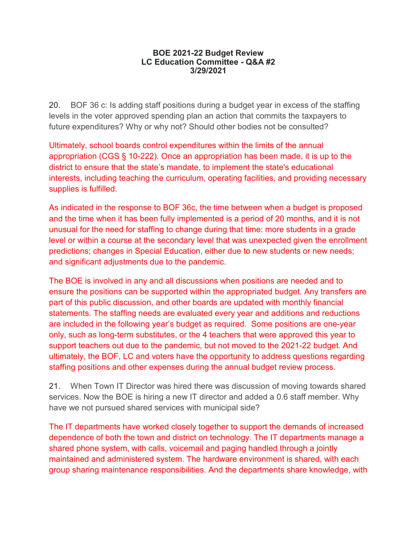## **BOE 2021-22 Budget Review LC Education Committee - Q&A #2 3/29/2021**

20. BOF 36 c: Is adding staff positions during a budget year in excess of the staffing levels in the voter approved spending plan an action that commits the taxpayers to future expenditures? Why or why not? Should other bodies not be consulted?

Ultimately, school boards control expenditures within the limits of the annual appropriation (CGS § 10-222). Once an appropriation has been made, it is up to the district to ensure that the state's mandate, to implement the state's educational interests, including teaching the curriculum, operating facilities, and providing necessary supplies is fulfilled.

As indicated in the response to BOF 36c, the time between when a budget is proposed and the time when it has been fully implemented is a period of 20 months, and it is not unusual for the need for staffing to change during that time: more students in a grade level or within a course at the secondary level that was unexpected given the enrollment predictions; changes in Special Education, either due to new students or new needs; and significant adjustments due to the pandemic.

The BOE is involved in any and all discussions when positions are needed and to ensure the positions can be supported within the appropriated budget. Any transfers are part of this public discussion, and other boards are updated with monthly financial statements. The staffing needs are evaluated every year and additions and reductions are included in the following year's budget as required. Some positions are one-year only, such as long-term substitutes, or the 4 teachers that were approved this year to support teachers out due to the pandemic, but not moved to the 2021-22 budget. And ultimately, the BOF, LC and voters have the opportunity to address questions regarding staffing positions and other expenses during the annual budget review process.

21. When Town IT Director was hired there was discussion of moving towards shared services. Now the BOE is hiring a new IT director and added a 0.6 staff member. Why have we not pursued shared services with municipal side?

The IT departments have worked closely together to support the demands of increased dependence of both the town and district on technology. The IT departments manage a shared phone system, with calls, voicemail and paging handled through a jointly maintained and administered system. The hardware environment is shared, with each group sharing maintenance responsibilities. And the departments share knowledge, with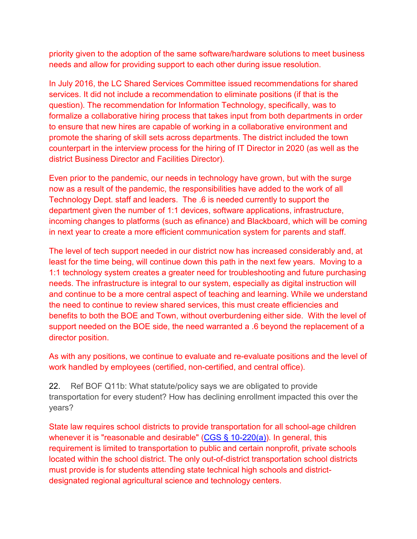priority given to the adoption of the same software/hardware solutions to meet business needs and allow for providing support to each other during issue resolution.

In July 2016, the LC Shared Services Committee issued recommendations for shared services. It did not include a recommendation to eliminate positions (if that is the question). The recommendation for Information Technology, specifically, was to formalize a collaborative hiring process that takes input from both departments in order to ensure that new hires are capable of working in a collaborative environment and promote the sharing of skill sets across departments. The district included the town counterpart in the interview process for the hiring of IT Director in 2020 (as well as the district Business Director and Facilities Director).

Even prior to the pandemic, our needs in technology have grown, but with the surge now as a result of the pandemic, the responsibilities have added to the work of all Technology Dept. staff and leaders. The .6 is needed currently to support the department given the number of 1:1 devices, software applications, infrastructure, incoming changes to platforms (such as efinance) and Blackboard, which will be coming in next year to create a more efficient communication system for parents and staff.

The level of tech support needed in our district now has increased considerably and, at least for the time being, will continue down this path in the next few years. Moving to a 1:1 technology system creates a greater need for troubleshooting and future purchasing needs. The infrastructure is integral to our system, especially as digital instruction will and continue to be a more central aspect of teaching and learning. While we understand the need to continue to review shared services, this must create efficiencies and benefits to both the BOE and Town, without overburdening either side. With the level of support needed on the BOE side, the need warranted a .6 beyond the replacement of a director position.

As with any positions, we continue to evaluate and re-evaluate positions and the level of work handled by employees (certified, non-certified, and central office).

22. Ref BOF Q11b: What statute/policy says we are obligated to provide transportation for every student? How has declining enrollment impacted this over the years?

State law requires school districts to provide transportation for all school-age children whenever it is "reasonable and desirable" (CGS  $\S$  10-220(a)). In general, this requirement is limited to transportation to public and certain nonprofit, private schools located within the school district. The only out-of-district transportation school districts must provide is for students attending state technical high schools and districtdesignated regional agricultural science and technology centers.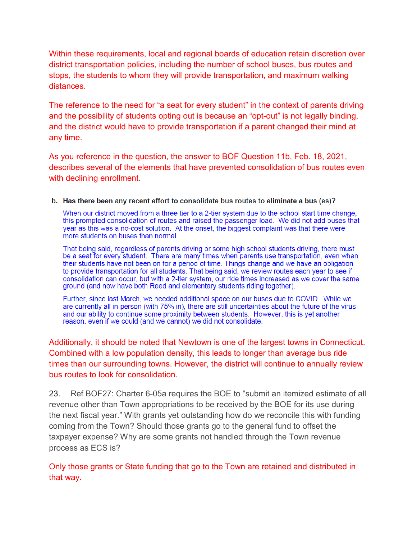Within these requirements, local and regional boards of education retain discretion over district transportation policies, including the number of school buses, bus routes and stops, the students to whom they will provide transportation, and maximum walking distances.

The reference to the need for "a seat for every student" in the context of parents driving and the possibility of students opting out is because an "opt-out" is not legally binding, and the district would have to provide transportation if a parent changed their mind at any time.

As you reference in the question, the answer to BOF Question 11b, Feb. 18, 2021, describes several of the elements that have prevented consolidation of bus routes even with declining enrollment.

## b. Has there been any recent effort to consolidate bus routes to eliminate a bus (es)?

When our district moved from a three tier to a 2-tier system due to the school start time change, this prompted consolidation of routes and raised the passenger load. We did not add buses that year as this was a no-cost solution. At the onset, the biggest complaint was that there were more students on buses than normal.

That being said, regardless of parents driving or some high school students driving, there must be a seat for every student. There are many times when parents use transportation, even when their students have not been on for a period of time. Things change and we have an obligation to provide transportation for all students. That being said, we review routes each year to see if consolidation can occur, but with a 2-tier system, our ride times increased as we cover the same ground (and now have both Reed and elementary students riding together).

Further, since last March, we needed additional space on our buses due to COVID. While we are currently all in-person (with 75% in), there are still uncertainties about the future of the virus and our ability to continue some proximity between students. However, this is yet another reason, even if we could (and we cannot) we did not consolidate.

Additionally, it should be noted that Newtown is one of the largest towns in Connecticut. Combined with a low population density, this leads to longer than average bus ride times than our surrounding towns. However, the district will continue to annually review bus routes to look for consolidation.

23. Ref BOF27: Charter 6-05a requires the BOE to "submit an itemized estimate of all revenue other than Town appropriations to be received by the BOE for its use during the next fiscal year." With grants yet outstanding how do we reconcile this with funding coming from the Town? Should those grants go to the general fund to offset the taxpayer expense? Why are some grants not handled through the Town revenue process as ECS is?

Only those grants or State funding that go to the Town are retained and distributed in that way.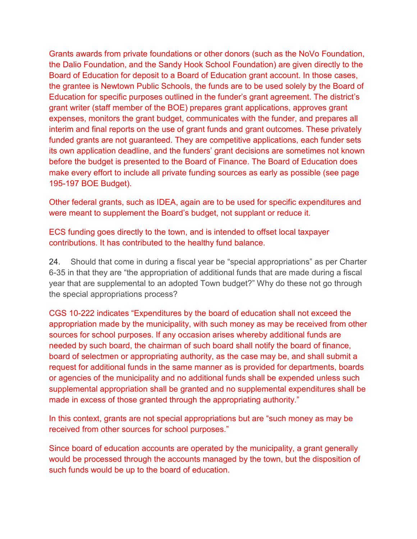Grants awards from private foundations or other donors (such as the NoVo Foundation, the Dalio Foundation, and the Sandy Hook School Foundation) are given directly to the Board of Education for deposit to a Board of Education grant account. In those cases, the grantee is Newtown Public Schools, the funds are to be used solely by the Board of Education for specific purposes outlined in the funder's grant agreement. The district's grant writer (staff member of the BOE) prepares grant applications, approves grant expenses, monitors the grant budget, communicates with the funder, and prepares all interim and final reports on the use of grant funds and grant outcomes. These privately funded grants are not guaranteed. They are competitive applications, each funder sets its own application deadline, and the funders' grant decisions are sometimes not known before the budget is presented to the Board of Finance. The Board of Education does make every effort to include all private funding sources as early as possible (see page 195-197 BOE Budget).

Other federal grants, such as IDEA, again are to be used for specific expenditures and were meant to supplement the Board's budget, not supplant or reduce it.

ECS funding goes directly to the town, and is intended to offset local taxpayer contributions. It has contributed to the healthy fund balance.

24. Should that come in during a fiscal year be "special appropriations" as per Charter 6-35 in that they are "the appropriation of additional funds that are made during a fiscal year that are supplemental to an adopted Town budget?" Why do these not go through the special appropriations process?

CGS 10-222 indicates "Expenditures by the board of education shall not exceed the appropriation made by the municipality, with such money as may be received from other sources for school purposes. If any occasion arises whereby additional funds are needed by such board, the chairman of such board shall notify the board of finance, board of selectmen or appropriating authority, as the case may be, and shall submit a request for additional funds in the same manner as is provided for departments, boards or agencies of the municipality and no additional funds shall be expended unless such supplemental appropriation shall be granted and no supplemental expenditures shall be made in excess of those granted through the appropriating authority."

In this context, grants are not special appropriations but are "such money as may be received from other sources for school purposes."

Since board of education accounts are operated by the municipality, a grant generally would be processed through the accounts managed by the town, but the disposition of such funds would be up to the board of education.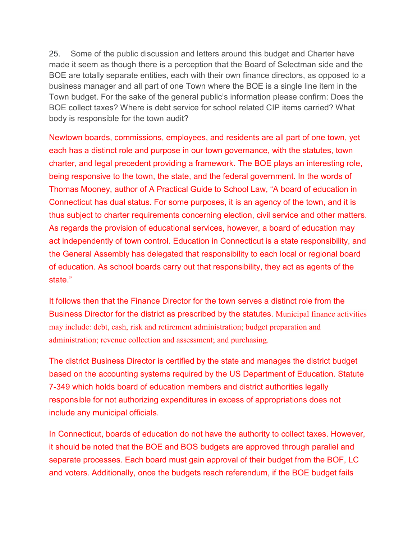25. Some of the public discussion and letters around this budget and Charter have made it seem as though there is a perception that the Board of Selectman side and the BOE are totally separate entities, each with their own finance directors, as opposed to a business manager and all part of one Town where the BOE is a single line item in the Town budget. For the sake of the general public's information please confirm: Does the BOE collect taxes? Where is debt service for school related CIP items carried? What body is responsible for the town audit?

Newtown boards, commissions, employees, and residents are all part of one town, yet each has a distinct role and purpose in our town governance, with the statutes, town charter, and legal precedent providing a framework. The BOE plays an interesting role, being responsive to the town, the state, and the federal government. In the words of Thomas Mooney, author of A Practical Guide to School Law, "A board of education in Connecticut has dual status. For some purposes, it is an agency of the town, and it is thus subject to charter requirements concerning election, civil service and other matters. As regards the provision of educational services, however, a board of education may act independently of town control. Education in Connecticut is a state responsibility, and the General Assembly has delegated that responsibility to each local or regional board of education. As school boards carry out that responsibility, they act as agents of the state."

It follows then that the Finance Director for the town serves a distinct role from the Business Director for the district as prescribed by the statutes. Municipal finance activities may include: debt, cash, risk and retirement administration; budget preparation and administration; revenue collection and assessment; and purchasing.

The district Business Director is certified by the state and manages the district budget based on the accounting systems required by the US Department of Education. Statute 7-349 which holds board of education members and district authorities legally responsible for not authorizing expenditures in excess of appropriations does not include any municipal officials.

In Connecticut, boards of education do not have the authority to collect taxes. However, it should be noted that the BOE and BOS budgets are approved through parallel and separate processes. Each board must gain approval of their budget from the BOF, LC and voters. Additionally, once the budgets reach referendum, if the BOE budget fails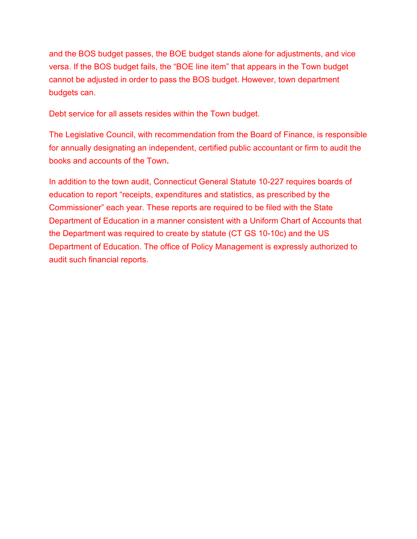and the BOS budget passes, the BOE budget stands alone for adjustments, and vice versa. If the BOS budget fails, the "BOE line item" that appears in the Town budget cannot be adjusted in order to pass the BOS budget. However, town department budgets can.

Debt service for all assets resides within the Town budget.

The Legislative Council, with recommendation from the Board of Finance, is responsible for annually designating an independent, certified public accountant or firm to audit the books and accounts of the Town**.**

In addition to the town audit, Connecticut General Statute 10-227 requires boards of education to report "receipts, expenditures and statistics, as prescribed by the Commissioner" each year. These reports are required to be filed with the State Department of Education in a manner consistent with a Uniform Chart of Accounts that the Department was required to create by statute (CT GS 10-10c) and the US Department of Education. The office of Policy Management is expressly authorized to audit such financial reports.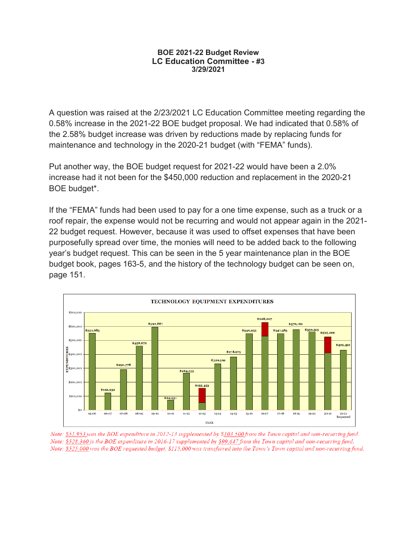## **BOE 2021-22 Budget Review LC Education Committee - #3 3/29/2021**

A question was raised at the 2/23/2021 LC Education Committee meeting regarding the 0.58% increase in the 2021-22 BOE budget proposal. We had indicated that 0.58% of the 2.58% budget increase was driven by reductions made by replacing funds for maintenance and technology in the 2020-21 budget (with "FEMA" funds).

Put another way, the BOE budget request for 2021-22 would have been a 2.0% increase had it not been for the \$450,000 reduction and replacement in the 2020-21 BOE budget\*.

If the "FEMA" funds had been used to pay for a one time expense, such as a truck or a roof repair, the expense would not be recurring and would not appear again in the 2021- 22 budget request. However, because it was used to offset expenses that have been purposefully spread over time, the monies will need to be added back to the following year's budget request. This can be seen in the 5 year maintenance plan in the BOE budget book, pages 163-5, and the history of the technology budget can be seen on, page 151.



Note: \$51,953 was the BOE expenditure in 2012-13 supplemented by \$103,500 from the Town capital and non-recurring fund. Note: \$528,360 is the BOE expenditure in 2016-17 supplemented by \$99,647 from the Town capital and non-recurring fund. Note: \$525,000 was the BOE requested budget, \$115,000 was transferred into the Town's Town capital and non-recurring fund.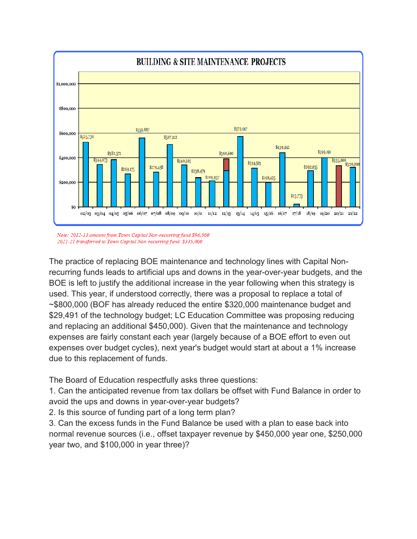

Note: 2012-13 amount from Town Capital Non-recurring fund \$96,500 2021-21 transferred to Town Capital Non-recurring fund \$335,000

The practice of replacing BOE maintenance and technology lines with Capital Nonrecurring funds leads to artificial ups and downs in the year-over-year budgets, and the BOE is left to justify the additional increase in the year following when this strategy is used. This year, if understood correctly, there was a proposal to replace a total of ~\$800,000 (BOF has already reduced the entire \$320,000 maintenance budget and \$29,491 of the technology budget; LC Education Committee was proposing reducing and replacing an additional \$450,000). Given that the maintenance and technology expenses are fairly constant each year (largely because of a BOE effort to even out expenses over budget cycles), next year's budget would start at about a 1% increase due to this replacement of funds.

The Board of Education respectfully asks three questions:

1. Can the anticipated revenue from tax dollars be offset with Fund Balance in order to avoid the ups and downs in year-over-year budgets?

2. Is this source of funding part of a long term plan?

3. Can the excess funds in the Fund Balance be used with a plan to ease back into normal revenue sources (i.e., offset taxpayer revenue by \$450,000 year one, \$250,000 year two, and \$100,000 in year three)?